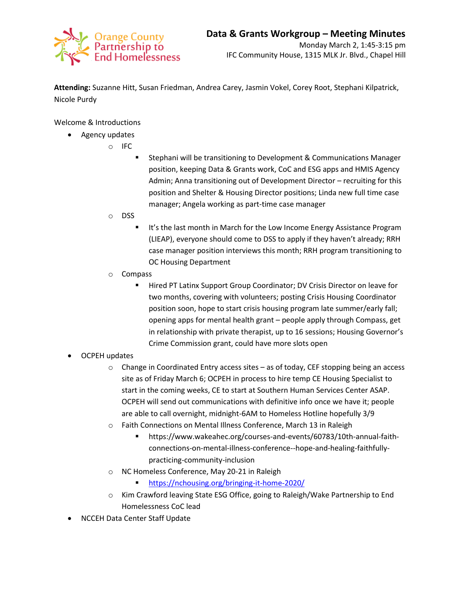

**Attending:** Suzanne Hitt, Susan Friedman, Andrea Carey, Jasmin Vokel, Corey Root, Stephani Kilpatrick, Nicole Purdy

Welcome & Introductions

- Agency updates
	- o IFC
		- Stephani will be transitioning to Development & Communications Manager position, keeping Data & Grants work, CoC and ESG apps and HMIS Agency Admin; Anna transitioning out of Development Director – recruiting for this position and Shelter & Housing Director positions; Linda new full time case manager; Angela working as part-time case manager
	- o DSS
		- It's the last month in March for the Low Income Energy Assistance Program (LIEAP), everyone should come to DSS to apply if they haven't already; RRH case manager position interviews this month; RRH program transitioning to OC Housing Department
	- o Compass
		- **Hired PT Latinx Support Group Coordinator; DV Crisis Director on leave for** two months, covering with volunteers; posting Crisis Housing Coordinator position soon, hope to start crisis housing program late summer/early fall; opening apps for mental health grant – people apply through Compass, get in relationship with private therapist, up to 16 sessions; Housing Governor's Crime Commission grant, could have more slots open
- OCPEH updates
	- $\circ$  Change in Coordinated Entry access sites as of today, CEF stopping being an access site as of Friday March 6; OCPEH in process to hire temp CE Housing Specialist to start in the coming weeks, CE to start at Southern Human Services Center ASAP. OCPEH will send out communications with definitive info once we have it; people are able to call overnight, midnight-6AM to Homeless Hotline hopefully 3/9
	- o Faith Connections on Mental Illness Conference, March 13 in Raleigh
		- https://www.wakeahec.org/courses-and-events/60783/10th-annual-faithconnections-on-mental-illness-conference--hope-and-healing-faithfullypracticing-community-inclusion
	- o NC Homeless Conference, May 20-21 in Raleigh
		- <https://nchousing.org/bringing-it-home-2020/>
	- o Kim Crawford leaving State ESG Office, going to Raleigh/Wake Partnership to End Homelessness CoC lead
- NCCEH Data Center Staff Update